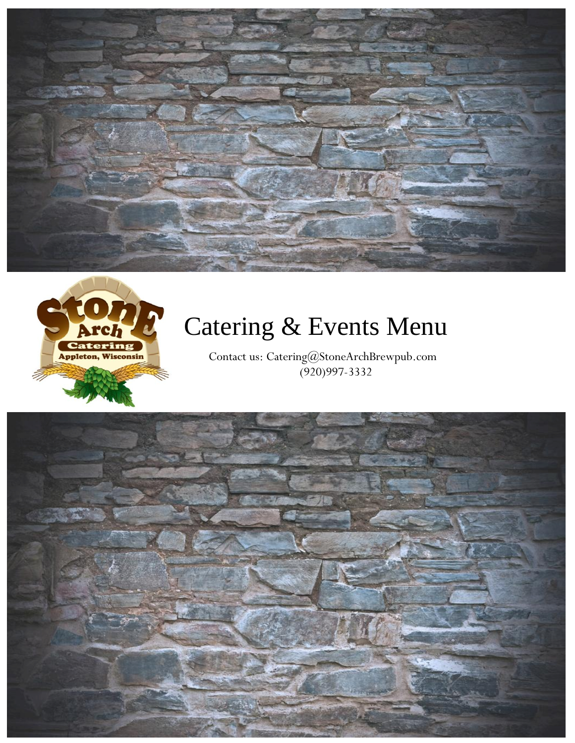



# Catering & Events Menu

Contact us: Catering@StoneArchBrewpub.com (920)997-3332

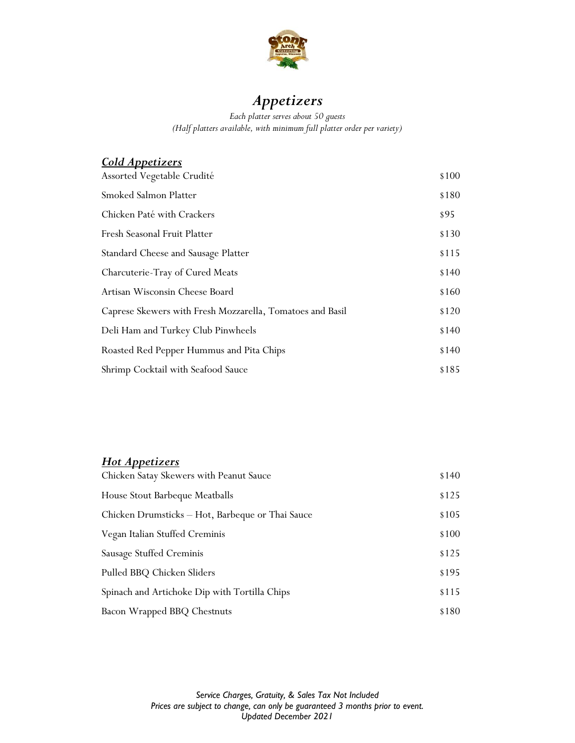

## *Appetizers*

*Each platter serves about 50 guests (Half platters available, with minimum full platter order per variety)*

## *Cold Appetizers*

| Assorted Vegetable Crudité                                | \$100 |
|-----------------------------------------------------------|-------|
| Smoked Salmon Platter                                     | \$180 |
| Chicken Paté with Crackers                                | \$95  |
| Fresh Seasonal Fruit Platter                              | \$130 |
| Standard Cheese and Sausage Platter                       | \$115 |
| Charcuterie-Tray of Cured Meats                           | \$140 |
| Artisan Wisconsin Cheese Board                            | \$160 |
| Caprese Skewers with Fresh Mozzarella, Tomatoes and Basil | \$120 |
| Deli Ham and Turkey Club Pinwheels                        | \$140 |
| Roasted Red Pepper Hummus and Pita Chips                  | \$140 |
| Shrimp Cocktail with Seafood Sauce                        | \$185 |

## *Hot Appetizers*

| Chicken Satay Skewers with Peanut Sauce          | \$140 |
|--------------------------------------------------|-------|
| House Stout Barbeque Meatballs                   | \$125 |
| Chicken Drumsticks - Hot, Barbeque or Thai Sauce | \$105 |
| Vegan Italian Stuffed Creminis                   | \$100 |
| Sausage Stuffed Creminis                         | \$125 |
| Pulled BBQ Chicken Sliders                       | \$195 |
| Spinach and Artichoke Dip with Tortilla Chips    | \$115 |
| Bacon Wrapped BBQ Chestnuts                      | \$180 |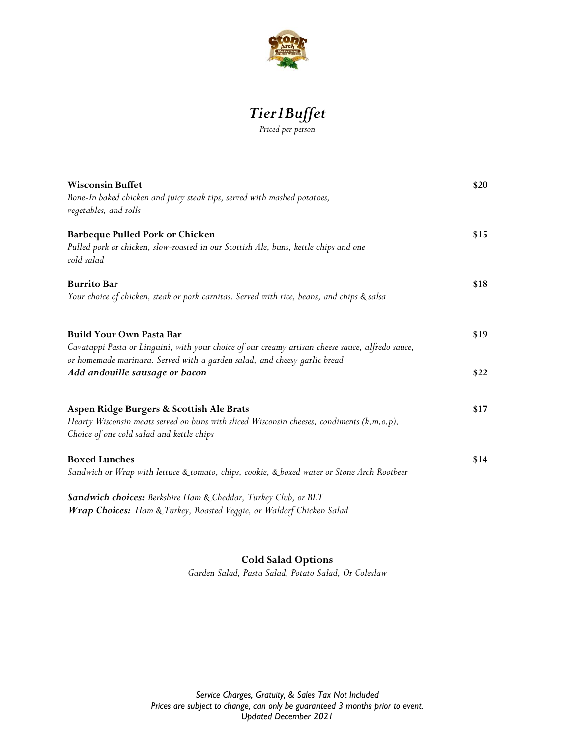

## *Tier1Buffet Priced per person*

| <b>Wisconsin Buffet</b><br>Bone-In baked chicken and juicy steak tips, served with mashed potatoes,<br>vegetables, and rolls                                                                                     |      |
|------------------------------------------------------------------------------------------------------------------------------------------------------------------------------------------------------------------|------|
| Barbeque Pulled Pork or Chicken<br>Pulled pork or chicken, slow-roasted in our Scottish Ale, buns, kettle chips and one<br>cold salad                                                                            | \$15 |
| <b>Burrito Bar</b><br>Your choice of chicken, steak or pork carnitas. Served with rice, beans, and chips & salsa                                                                                                 | \$18 |
| <b>Build Your Own Pasta Bar</b><br>Cavatappi Pasta or Linguini, with your choice of our creamy artisan cheese sauce, alfredo sauce,<br>or homemade marinara. Served with a garden salad, and cheesy garlic bread | \$19 |
| Add andouille sausage or bacon                                                                                                                                                                                   | \$22 |
| Aspen Ridge Burgers & Scottish Ale Brats<br>Hearty Wisconsin meats served on buns with sliced Wisconsin cheeses, condiments (k,m,o,p),<br>Choice of one cold salad and kettle chips                              | \$17 |
| <b>Boxed Lunches</b><br>Sandwich or Wrap with lettuce & tomato, chips, cookie, & boxed water or Stone Arch Rootbeer                                                                                              | \$14 |
| Sandwich choices: Berkshire Ham & Cheddar, Turkey Club, or BLT<br>Wrap Choices: Ham & Turkey, Roasted Veggie, or Waldorf Chicken Salad                                                                           |      |

#### **Cold Salad Options**

*Garden Salad, Pasta Salad, Potato Salad, Or Coleslaw*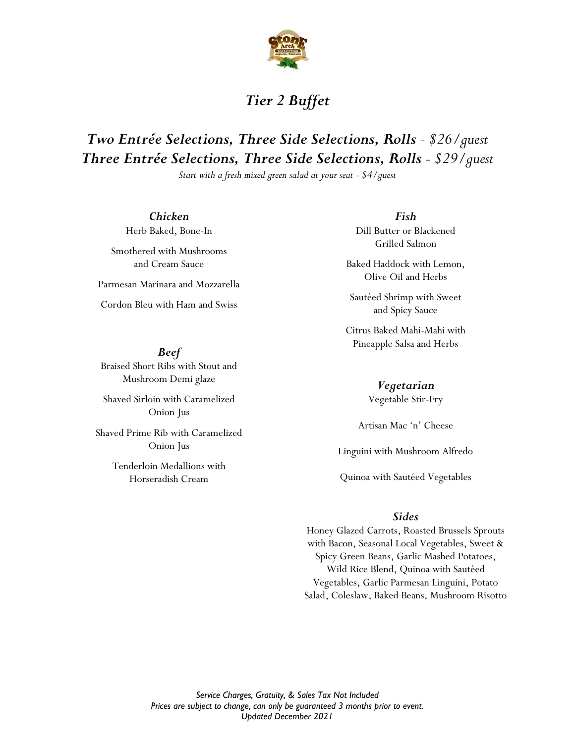

## *Tier 2 Buffet*

## *Two Entrée Selections, Three Side Selections, Rolls - \$26/guest Three Entrée Selections, Three Side Selections, Rolls - \$29/guest*

*Start with a fresh mixed green salad at your seat - \$4/guest*

*Chicken* Herb Baked, Bone-In

Smothered with Mushrooms and Cream Sauce

Parmesan Marinara and Mozzarella

Cordon Bleu with Ham and Swiss

*Beef* Braised Short Ribs with Stout and Mushroom Demi glaze

Shaved Sirloin with Caramelized Onion Jus

Shaved Prime Rib with Caramelized Onion Jus

> Tenderloin Medallions with Horseradish Cream

*Fish*

Dill Butter or Blackened Grilled Salmon

Baked Haddock with Lemon, Olive Oil and Herbs

Sautéed Shrimp with Sweet and Spicy Sauce

Citrus Baked Mahi-Mahi with Pineapple Salsa and Herbs

> *Vegetarian* Vegetable Stir-Fry

Artisan Mac 'n' Cheese

Linguini with Mushroom Alfredo

Quinoa with Sautéed Vegetables

#### *Sides*

Honey Glazed Carrots, Roasted Brussels Sprouts with Bacon, Seasonal Local Vegetables, Sweet & Spicy Green Beans, Garlic Mashed Potatoes, Wild Rice Blend, Quinoa with Sautéed Vegetables, Garlic Parmesan Linguini, Potato Salad, Coleslaw, Baked Beans, Mushroom Risotto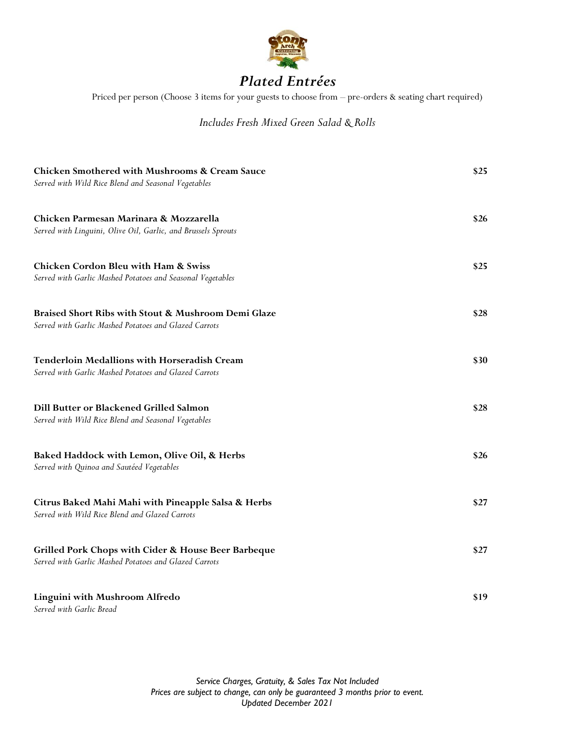

## *Plated Entrées*

Priced per person (Choose 3 items for your guests to choose from – pre-orders & seating chart required)

#### *Includes Fresh Mixed Green Salad & Rolls*

| Chicken Smothered with Mushrooms & Cream Sauce<br>Served with Wild Rice Blend and Seasonal Vegetables         |      |
|---------------------------------------------------------------------------------------------------------------|------|
| Chicken Parmesan Marinara & Mozzarella<br>Served with Linguini, Olive Oil, Garlic, and Brussels Sprouts       | \$26 |
| <b>Chicken Cordon Bleu with Ham &amp; Swiss</b><br>Served with Garlic Mashed Potatoes and Seasonal Vegetables | \$25 |
| Braised Short Ribs with Stout & Mushroom Demi Glaze<br>Served with Garlic Mashed Potatoes and Glazed Carrots  | \$28 |
| <b>Tenderloin Medallions with Horseradish Cream</b><br>Served with Garlic Mashed Potatoes and Glazed Carrots  | \$30 |
| Dill Butter or Blackened Grilled Salmon<br>Served with Wild Rice Blend and Seasonal Vegetables                | \$28 |
| Baked Haddock with Lemon, Olive Oil, & Herbs<br>Served with Quinoa and Sautéed Vegetables                     | \$26 |
| Citrus Baked Mahi Mahi with Pineapple Salsa & Herbs<br>Served with Wild Rice Blend and Glazed Carrots         | \$27 |
| Grilled Pork Chops with Cider & House Beer Barbeque<br>Served with Garlic Mashed Potatoes and Glazed Carrots  | \$27 |
| Linguini with Mushroom Alfredo<br>Served with Garlic Bread                                                    | \$19 |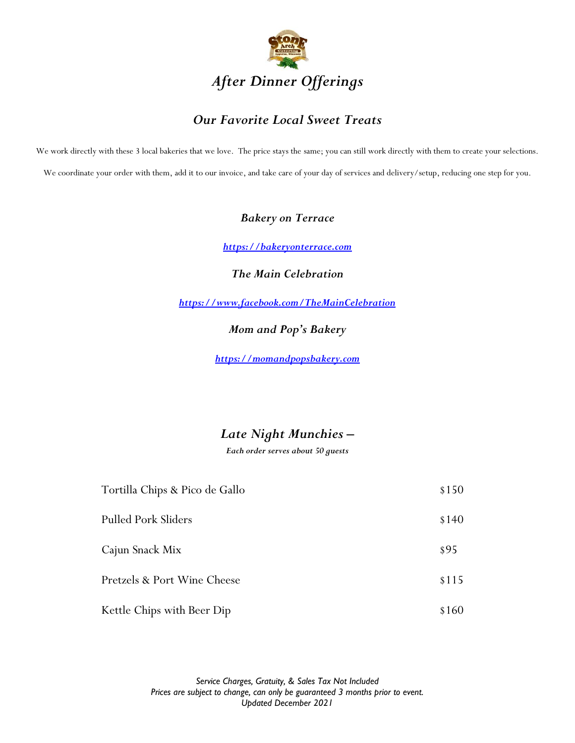

## *Our Favorite Local Sweet Treats*

We work directly with these 3 local bakeries that we love. The price stays the same; you can still work directly with them to create your selections. We coordinate your order with them, add it to our invoice, and take care of your day of services and delivery/setup, reducing one step for you.

#### *Bakery on Terrace*

*[https://bakeryonterrace.com](https://bakeryonterrace.com/)*

*The Main Celebration*

*<https://www.facebook.com/TheMainCelebration>*

*Mom and Pop's Bakery*

*[https://momandpopsbakery.com](https://momandpopsbakery.com/)*

## *Late Night Munchies –*

*Each order serves about 50 guests*

| Tortilla Chips & Pico de Gallo |       |
|--------------------------------|-------|
| <b>Pulled Pork Sliders</b>     | \$140 |
| Cajun Snack Mix                | \$95  |
| Pretzels & Port Wine Cheese    | \$115 |
| Kettle Chips with Beer Dip     | \$160 |